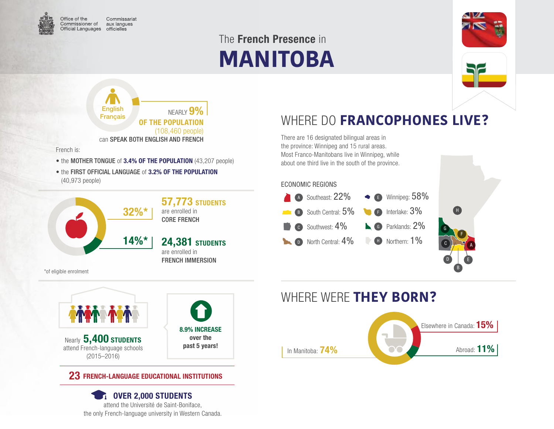

Commissariat Commissioner of aux langues Official Languages officielles

# **MANITOBA** The French Presence in



NEARLY **9%** OF THE POPULATION (108,460 people) can SPEAK BOTH ENGLISH AND FRENCH English Français

French is:

- the MOTHER TONGUE of 3.4% OF THE POPULATION (43,207 people)
- the FIRST OFFICIAL LANGUAGE of 3.2% OF THE POPULATION (40,973 people)



# WHERE DO **FRANCOPHONES LIVE?**

There are 16 designated bilingual areas in the province: Winnipeg and 15 rural areas. Most Franco-Manitobans live in Winnipeg, while about one third live in the south of the province.

#### ECONOMIC REGIONS







#### 23 FRENCH-LANGUAGE EDUCATIONAL INSTITUTIONS

**TE OVER 2,000 STUDENTS** attend the Université de Saint-Boniface, the only French-language university in Western Canada.

### WHERE WERE **THEY BORN?**